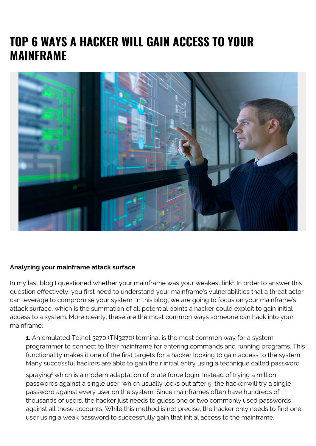## **TOP 6 WAYS A HACKER WILL GAIN ACCESS TO YOUR MAINFRAME**



## **Analyzing your mainframe attack surface**

In my last blog I questioned whether your mainframe was your weakest link<sup>[1](#page--1-0)</sup>. In order to answer this question effectively, you first need to understand your mainframe's vulnerabilities that a threat actor can leverage to compromise your system. In this blog, we are going to focus on your mainframe's attack surface, which is the summation of all potential points a hacker could exploit to gain initial access to a system. More clearly, these are the most common ways someone can hack into your mainframe:

**1.** An emulated Telnet 3270 (TN3270) terminal is the most common way for a system programmer to connect to their mainframe for entering commands and running programs. This functionality makes it one of the first targets for a hacker looking to gain access to the system. Many successful hackers are able to gain their initial entry using a technique called password

spraying<sup>[2](#page--1-0)</sup> which is a modern adaptation of brute force login. Instead of trying a million passwords against a single user, which usually locks out after 5, the hacker will try a single password against every user on the system. Since mainframes often have hundreds of thousands of users, the hacker just needs to guess one or two commonly used passwords against all these accounts. While this method is not precise, the hacker only needs to find one user using a weak password to successfully gain that initial access to the mainframe.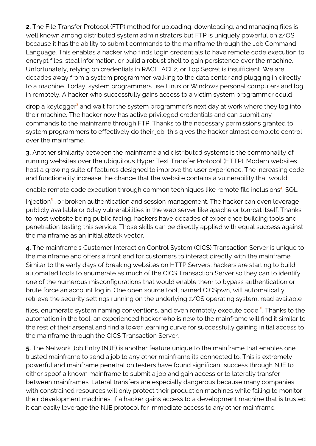**2.** The File Transfer Protocol (FTP) method for uploading, downloading, and managing files is well known among distributed system administrators but FTP is uniquely powerful on z/OS because it has the ability to submit commands to the mainframe through the Job Command Language. This enables a hacker who finds login credentials to have remote code execution to encrypt files, steal information, or build a robust shell to gain persistence over the machine. Unfortunately, relying on credentials in RACF, ACF2, or Top Secret is insufficient. We are decades away from a system programmer walking to the data center and plugging in directly to a machine. Today, system programmers use Linux or Windows personal computers and log in remotely. A hacker who successfully gains access to a victim system programmer could

drop a keylogger<sup>[3](#page--1-0)</sup> and wait for the system programmer's next day at work where they log into their machine. The hacker now has active privileged credentials and can submit any commands to the mainframe through FTP. Thanks to the necessary permissions granted to system programmers to effectively do their job, this gives the hacker almost complete control over the mainframe.

**3.** Another similarity between the mainframe and distributed systems is the commonality of running websites over the ubiquitous Hyper Text Transfer Protocol (HTTP). Modern websites host a growing suite of features designed to improve the user experience. The increasing code and functionality increase the chance that the website contains a vulnerability that would

enable remote code execution through common techniques like remote file inclusions<sup>[4](#page--1-0)</sup>, SQL

Injection<sup>[5](#page--1-0)</sup>, or broken authentication and session management. The hacker can even leverage publicly available or 0day vulnerabilities in the web server like apache or tomcat itself. Thanks to most website being public facing, hackers have decades of experience building tools and penetration testing this service. Those skills can be directly applied with equal success against the mainframe as an initial attack vector.

**4.** The mainframe's Customer Interaction Control System (CICS) Transaction Server is unique to the mainframe and offers a front end for customers to interact directly with the mainframe. Similar to the early days of breaking websites on HTTP Servers, hackers are starting to build automated tools to enumerate as much of the CICS Transaction Server so they can to identify one of the numerous misconfigurations that would enable them to bypass authentication or brute force an account log in. One open source tool, named CICSpwn, will automatically retrieve the security settings running on the underlying z/OS operating system, read available

files, enumerate system naming conventions, and even remotely execute code  $\frac{\text{\,6}}{\text{\,}}$  $\frac{\text{\,6}}{\text{\,}}$  $\frac{\text{\,6}}{\text{\,}}$  Thanks to the automation in the tool, an experienced hacker who is new to the mainframe will find it similar to the rest of their arsenal and find a lower learning curve for successfully gaining initial access to the mainframe through the CICS Transaction Server.

**5.** The Network Job Entry (NJE) is another feature unique to the mainframe that enables one trusted mainframe to send a job to any other mainframe its connected to. This is extremely powerful and mainframe penetration testers have found significant success through NJE to either spoof a known mainframe to submit a job and gain access or to laterally transfer between mainframes. Lateral transfers are especially dangerous because many companies with constrained resources will only protect their production machines while failing to monitor their development machines. If a hacker gains access to a development machine that is trusted it can easily leverage the NJE protocol for immediate access to any other mainframe.